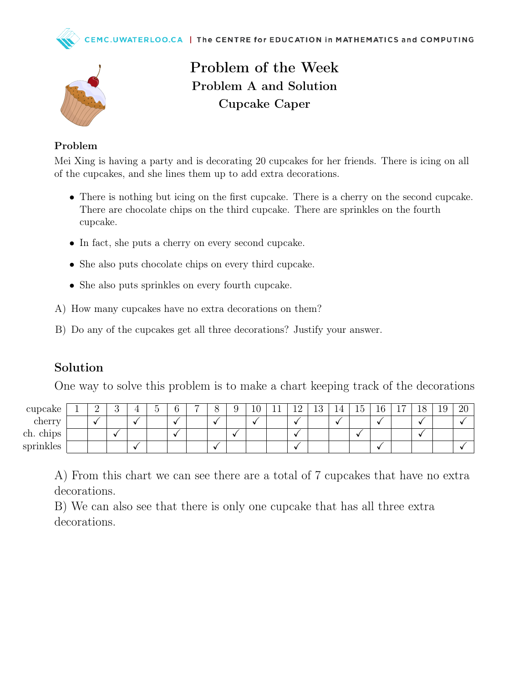



## Problem of the Week Problem A and Solution Cupcake Caper

#### Problem

Mei Xing is having a party and is decorating 20 cupcakes for her friends. There is icing on all of the cupcakes, and she lines them up to add extra decorations.

- There is nothing but icing on the first cupcake. There is a cherry on the second cupcake. There are chocolate chips on the third cupcake. There are sprinkles on the fourth cupcake.
- In fact, she puts a cherry on every second cupcake.
- She also puts chocolate chips on every third cupcake.
- She also puts sprinkles on every fourth cupcake.
- A) How many cupcakes have no extra decorations on them?
- B) Do any of the cupcakes get all three decorations? Justify your answer.

#### Solution

One way to solve this problem is to make a chart keeping track of the decorations

| cupcake          |           | ಀ | $\tilde{\phantom{a}}$ | − | ◡       | $10^{-}$ | -1<br>T T | $1 \Omega$<br>— | $\Omega$<br>πo | ΤŦ | --<br><b>45</b> | $\sqrt{2}$<br>10 | -<br><b>.</b> | 18 | $\Omega$<br>⊥ປ | റ∩<br>$\angle U$ |
|------------------|-----------|---|-----------------------|---|---------|----------|-----------|-----------------|----------------|----|-----------------|------------------|---------------|----|----------------|------------------|
| cherry           | $\bullet$ |   |                       |   | $\cdot$ |          |           |                 |                |    |                 |                  |               |    |                |                  |
| . .<br>ch. chips |           |   |                       |   |         |          |           |                 |                |    | $\bullet$       |                  |               |    |                |                  |
| sprinkles        |           |   |                       |   | $\cdot$ |          |           |                 |                |    |                 |                  |               |    |                |                  |

A) From this chart we can see there are a total of 7 cupcakes that have no extra decorations.

B) We can also see that there is only one cupcake that has all three extra decorations.